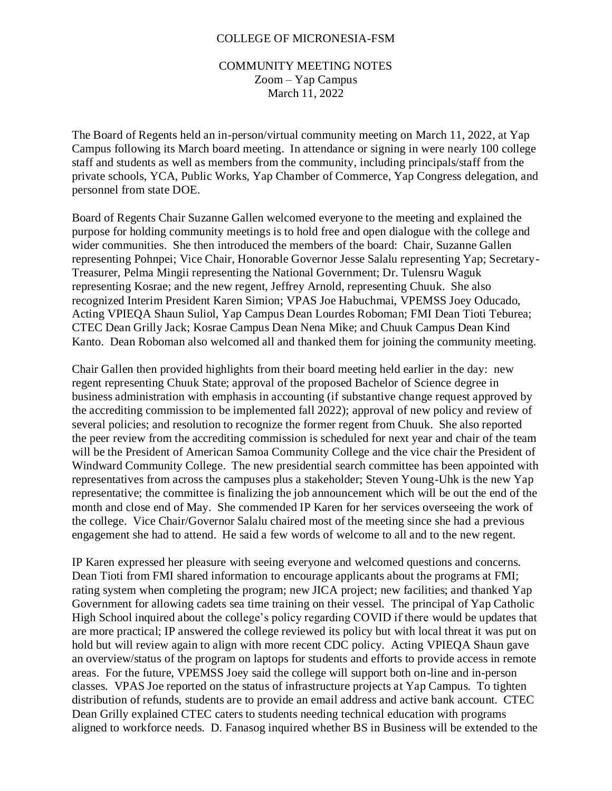## COLLEGE OF MICRONESIA-FSM

## COMMUNITY MEETING NOTES Zoom – Yap Campus March 11, 2022

The Board of Regents held an in-person/virtual community meeting on March 11, 2022, at Yap Campus following its March board meeting. In attendance or signing in were nearly 100 college staff and students as well as members from the community, including principals/staff from the private schools, YCA, Public Works, Yap Chamber of Commerce, Yap Congress delegation, and personnel from state DOE.

Board of Regents Chair Suzanne Gallen welcomed everyone to the meeting and explained the purpose for holding community meetings is to hold free and open dialogue with the college and wider communities. She then introduced the members of the board: Chair, Suzanne Gallen representing Pohnpei; Vice Chair, Honorable Governor Jesse Salalu representing Yap; Secretary-Treasurer, Pelma Mingii representing the National Government; Dr. Tulensru Waguk representing Kosrae; and the new regent, Jeffrey Arnold, representing Chuuk. She also recognized Interim President Karen Simion; VPAS Joe Habuchmai, VPEMSS Joey Oducado, Acting VPIEQA Shaun Suliol, Yap Campus Dean Lourdes Roboman; FMI Dean Tioti Teburea; CTEC Dean Grilly Jack; Kosrae Campus Dean Nena Mike; and Chuuk Campus Dean Kind Kanto. Dean Roboman also welcomed all and thanked them for joining the community meeting.

Chair Gallen then provided highlights from their board meeting held earlier in the day: new regent representing Chuuk State; approval of the proposed Bachelor of Science degree in business administration with emphasis in accounting (if substantive change request approved by the accrediting commission to be implemented fall 2022); approval of new policy and review of several policies; and resolution to recognize the former regent from Chuuk. She also reported the peer review from the accrediting commission is scheduled for next year and chair of the team will be the President of American Samoa Community College and the vice chair the President of Windward Community College. The new presidential search committee has been appointed with representatives from across the campuses plus a stakeholder; Steven Young-Uhk is the new Yap representative; the committee is finalizing the job announcement which will be out the end of the month and close end of May. She commended IP Karen for her services overseeing the work of the college. Vice Chair/Governor Salalu chaired most of the meeting since she had a previous engagement she had to attend. He said a few words of welcome to all and to the new regent.

IP Karen expressed her pleasure with seeing everyone and welcomed questions and concerns. Dean Tioti from FMI shared information to encourage applicants about the programs at FMI; rating system when completing the program; new JICA project; new facilities; and thanked Yap Government for allowing cadets sea time training on their vessel. The principal of Yap Catholic High School inquired about the college's policy regarding COVID if there would be updates that are more practical; IP answered the college reviewed its policy but with local threat it was put on hold but will review again to align with more recent CDC policy. Acting VPIEQA Shaun gave an overview/status of the program on laptops for students and efforts to provide access in remote areas. For the future, VPEMSS Joey said the college will support both on-line and in-person classes. VPAS Joe reported on the status of infrastructure projects at Yap Campus. To tighten distribution of refunds, students are to provide an email address and active bank account. CTEC Dean Grilly explained CTEC caters to students needing technical education with programs aligned to workforce needs. D. Fanasog inquired whether BS in Business will be extended to the